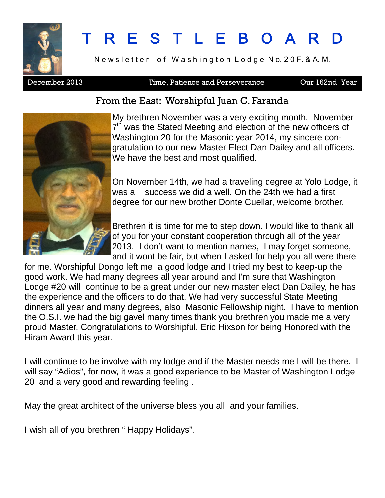

# R E S T L E B O A R

Newsletter of Washington Lodge No. 20 F. & A. M.

### December 2013 Time, Patience and Perseverance Our 162nd Year

### From the East: Worshipful Juan C. Faranda



My brethren November was a very exciting month. November 7<sup>th</sup> was the Stated Meeting and election of the new officers of Washington 20 for the Masonic year 2014, my sincere congratulation to our new Master Elect Dan Dailey and all officers. We have the best and most qualified.

On November 14th, we had a traveling degree at Yolo Lodge, it was a success we did a well. On the 24th we had a first degree for our new brother Donte Cuellar, welcome brother.

Brethren it is time for me to step down. I would like to thank all of you for your constant cooperation through all of the year 2013. I don't want to mention names, I may forget someone, and it wont be fair, but when I asked for help you all were there

for me. Worshipful Dongo left me a good lodge and I tried my best to keep-up the good work. We had many degrees all year around and I'm sure that Washington Lodge #20 will continue to be a great under our new master elect Dan Dailey, he has the experience and the officers to do that. We had very successful State Meeting dinners all year and many degrees, also Masonic Fellowship night. I have to mention the O.S.I. we had the big gavel many times thank you brethren you made me a very proud Master. Congratulations to Worshipful. Eric Hixson for being Honored with the Hiram Award this year.

I will continue to be involve with my lodge and if the Master needs me I will be there. I will say "Adios", for now, it was a good experience to be Master of Washington Lodge 20 and a very good and rewarding feeling .

May the great architect of the universe bless you all and your families.

I wish all of you brethren " Happy Holidays".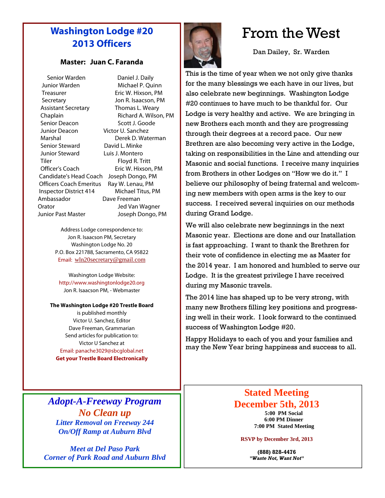## **Washington Lodge #20 2013 Officers**

### **Master: Juan C. Faranda**

Senior Warden Daniel J. Daily Junior Warden Michael P. Quinn Treasurer **Eric W. Hixson, PM** Secretary Jon R. Isaacson, PM Assistant Secretary Thomas L. Weary Chaplain Richard A. Wilson, PM Senior Deacon Scott J. Goode Junior Deacon Victor U. Sanchez Marshal Derek D. Waterman Senior Steward David L. Minke Junior Steward Luis J. Montero Tiler Floyd R. Tritt Officer's Coach Eric W. Hixson, PM Candidate's Head Coach Joseph Dongo, PM Officers Coach Emeritus Ray W. Lenau, PM Inspector District 414 Michael Titus, PM Ambassador Dave Freeman Orator Jed Van Wagner Junior Past Master Joseph Dongo, PM

Address Lodge correspondence to: Jon R. Isaacson PM, Secretary Washington Lodge No. 20 P.O. Box 221788, Sacramento, CA 95822 Email: wln20secretary@gmail.com

Washington Lodge Website: http://www.washingtonlodge20.org Jon R. Isaacson PM, - Webmaster

**The Washington Lodge #20 Trestle Board**

is published monthly Victor U. Sanchez, Editor Dave Freeman, Grammarian Send articles for publication to: Victor U Sanchez at Email: panache3029@sbcglobal.net **Get your Trestle Board Electronically**

*Adopt-A-Freeway Program No Clean up Litter Removal on Freeway 244 On/Off Ramp at Auburn Blvd*

*Meet at Del Paso Park Corner of Park Road and Auburn Blvd*



# From the West

Dan Dailey, Sr. Warden

This is the time of year when we not only give thanks for the many blessings we each have in our lives, but also celebrate new beginnings. Washington Lodge #20 continues to have much to be thankful for. Our Lodge is very healthy and active. We are bringing in new Brothers each month and they are progressing through their degrees at a record pace. Our new Brethren are also becoming very active in the Lodge, taking on responsibilities in the Line and attending our Masonic and social functions. I receive many inquiries from Brothers in other Lodges on "How we do it." I believe our philosophy of being fraternal and welcoming new members with open arms is the key to our success. I received several inquiries on our methods during Grand Lodge.

We will also celebrate new beginnings in the next Masonic year. Elections are done and our Installation is fast approaching. I want to thank the Brethren for their vote of confidence in electing me as Master for the 2014 year. I am honored and humbled to serve our Lodge. It is the greatest privilege I have received during my Masonic travels.

The 2014 line has shaped up to be very strong, with many new Brothers filling key positions and progressing well in their work. I look forward to the continued success of Washington Lodge #20.

Happy Holidays to each of you and your families and may the New Year bring happiness and success to all.

### **Stated Meeting December 5th, 2013**

**5:00 PM Social 6:00 PM Dinner 7:00 PM Stated Meeting**

#### **RSVP by December 3rd, 2013**

**(888) 828-4476** *"Waste Not, Want Not"*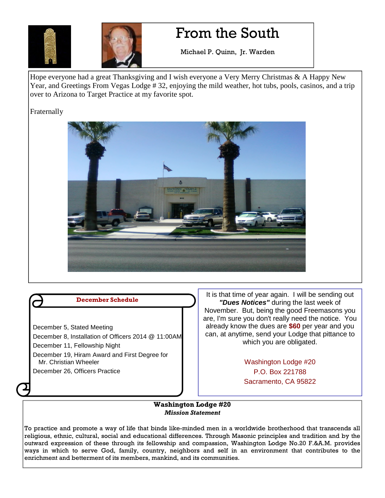



# From the South

Michael P. Quinn, Jr. Warden

Hope everyone had a great Thanksgiving and I wish everyone a Very Merry Christmas & A Happy New Year, and Greetings From Vegas Lodge # 32, enjoying the mild weather, hot tubs, pools, casinos, and a trip over to Arizona to Target Practice at my favorite spot.

Fraternally





It is that time of year again. I will be sending out *"Dues Notices"* during the last week of November. But, being the good Freemasons you are, I'm sure you don't really need the notice. You already know the dues are **\$60** per year and you can, at anytime, send your Lodge that pittance to which you are obligated.

> Washington Lodge #20 P.O. Box 221788 Sacramento, CA 95822

#### **Washington Lodge #20** *Mission Statement*

To practice and promote a way of life that binds like-minded men in a worldwide brotherhood that transcends all religious, ethnic, cultural, social and educational differences. Through Masonic principles and tradition and by the outward expression of these through its fellowship and compassion, Washington Lodge No.20 F.&A.M. provides ways in which to serve God, family, country, neighbors and self in an environment that contributes to the enrichment and betterment of its members, mankind, and its communities.